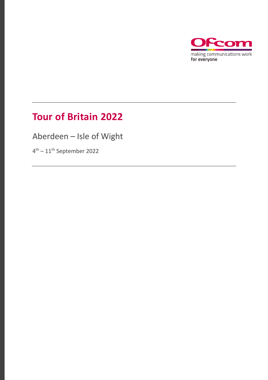

## **Tour of Britain 2022**

Aberdeen – Isle of Wight

4<sup>th</sup> – 11<sup>th</sup> September 2022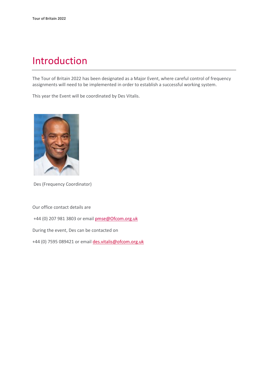# Introduction

The Tour of Britain 2022 has been designated as a Major Event, where careful control of frequency assignments will need to be implemented in order to establish a successful working system.

This year the Event will be coordinated by Des Vitalis.



Des (Frequency Coordinator)

Our office contact details are

+44 (0) 207 981 3803 or emai[l pmse@Ofcom.org.uk](mailto:pmse@arqiva.com)

During the event, Des can be contacted on

+44 (0) 7595 089421 or email des.vitalis@ofcom.org.uk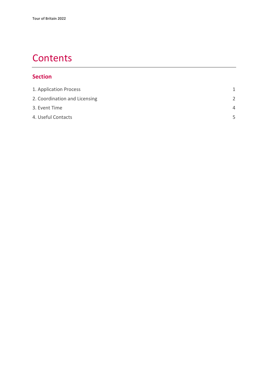### **Contents**

#### **Section**

| 1. Application Process        | 1             |
|-------------------------------|---------------|
| 2. Coordination and Licensing | $\mathcal{P}$ |
| 3. Event Time                 | $\Delta$      |
| 4. Useful Contacts            | 5             |
|                               |               |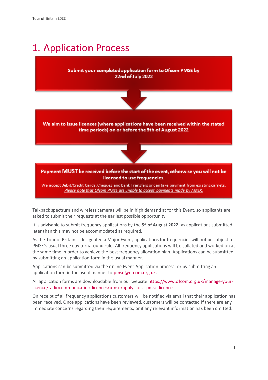## <span id="page-3-0"></span>1. Application Process

#### Submit your completed application form to Ofcom PMSE by 22nd of July 2022



We aim to issue licences (where applications have been received within the stated time periods) on or before the 5th of August 2022



Payment MUST be received before the start of the event, otherwise you will not be licensed to use frequencies.

We accept Debit/Credit Cards, Cheques and Bank Transfers or can take payment from existing carnets. Please note that Ofcom PMSE are unable to accept payments made by AMEX.

Talkback spectrum and wireless cameras will be in high demand at for this Event, so applicants are asked to submit their requests at the earliest possible opportunity.

It is advisable to submit frequency applications by the **5th of August 2022**, as applications submitted later than this may not be accommodated as required.

As the Tour of Britain is designated a Major Event, applications for frequencies will not be subject to PMSE's usual three day turnaround rule. All frequency applications will be collated and worked on at the same time in order to achieve the best frequency allocation plan. Applications can be submitted by submitting an application form in the usual manner.

Applications can be submitted via the online Event Application process, or by submitting an application form in the usual manner to [pmse@ofcom.org.uk.](mailto:pmse@ofcom.org.uk)

All application forms are downloadable from our websit[e https://www.ofcom.org.uk/manage-your](https://www.ofcom.org.uk/manage-your-licence/radiocommunication-licences/pmse/apply-for-a-pmse-licence)[licence/radiocommunication-licences/pmse/apply-for-a-pmse-licence](https://www.ofcom.org.uk/manage-your-licence/radiocommunication-licences/pmse/apply-for-a-pmse-licence)

On receipt of all frequency applications customers will be notified via email that their application has been received. Once applications have been reviewed, customers will be contacted if there are any immediate concerns regarding their requirements, or if any relevant information has been omitted.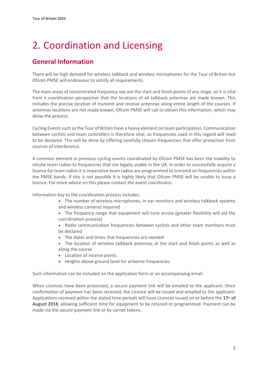# <span id="page-4-0"></span>2. Coordination and Licensing

### **General Information**

There will be high demand for wireless talkback and wireless microphones for the Tour of Britain but Ofcom PMSE will endeavour to satisfy all requirements.

The main areas of concentrated frequency use are the start and finish points of any stage, so it is vital from a coordination perspective that the locations of all talkback antennas are made known. This includes the precise location of transmit and receive antennas along entire length of the courses. If antennas locations are not made known, Ofcom PMSE will call to obtain this information, which may delay the process.

Cycling Events such as the Tour of Britain have a heavy element on team participation. Communication between cyclists and team controllers is therefore vital, so frequencies used in this regard will need to be declared. This will be done by offering carefully chosen frequencies that offer protection from sources of interference.

A common element in previous cycling events coordinated by Ofcom PMSE has been the inability to retune team radios to frequencies that are legally usable in the UK. In order to successfully acquire a licence for team radios it is imperative team radios are programmed to transmit on frequencies within the PMSE bands. If this is not possible it is highly likely that Ofcom PMSE will be unable to issue a licence. For more advice on this please contact the event coordinator.

Information key to the coordination process includes:

- The number of wireless microphones, in ear monitors and wireless talkback systems and wireless cameras required
- The frequency range that equipment will tune across (greater flexibility will aid the coordination process)
- Radio communication frequencies between cyclists and other team members must be declared
- The dates and times that frequencies are needed
- The location of wireless talkback antennas at the start and finish points as well as along the course
- Location of receive points
- Heights above ground level for airborne frequencies

Such information can be included on the application form or an accompanying email.

When Licences have been processed, a secure payment link will be emailed to the applicant. Once confirmation of payment has been received, the Licence will be issued and emailed to the applicant. Applications received within the stated time periods will have Licences issued on or before the **17th of August 2018**, allowing sufficient time for equipment to be retuned or programmed. Payment can be made via the secure payment link or by carnet tokens.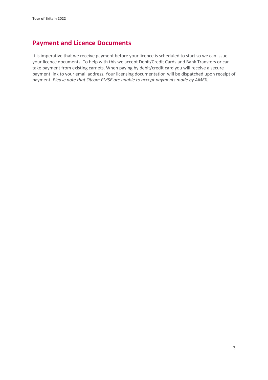### **Payment and Licence Documents**

It is imperative that we receive payment before your licence is scheduled to start so we can issue your licence documents. To help with this we accept Debit/Credit Cards and Bank Transfers or can take payment from existing carnets. When paying by debit/credit card you will receive a secure payment link to your email address. Your licensing documentation will be dispatched upon receipt of payment. *Please note that Ofcom PMSE are unable to accept payments made by AMEX.*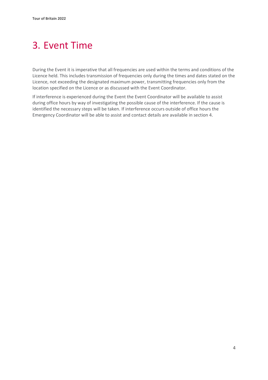# <span id="page-6-0"></span>3. Event Time

During the Event it is imperative that all frequencies are used within the terms and conditions of the Licence held. This includes transmission of frequencies only during the times and dates stated on the Licence, not exceeding the designated maximum power, transmitting frequencies only from the location specified on the Licence or as discussed with the Event Coordinator.

If interference is experienced during the Event the Event Coordinator will be available to assist during office hours by way of investigating the possible cause of the interference. If the cause is identified the necessary steps will be taken. If interference occurs outside of office hours the Emergency Coordinator will be able to assist and contact details are available in section 4.